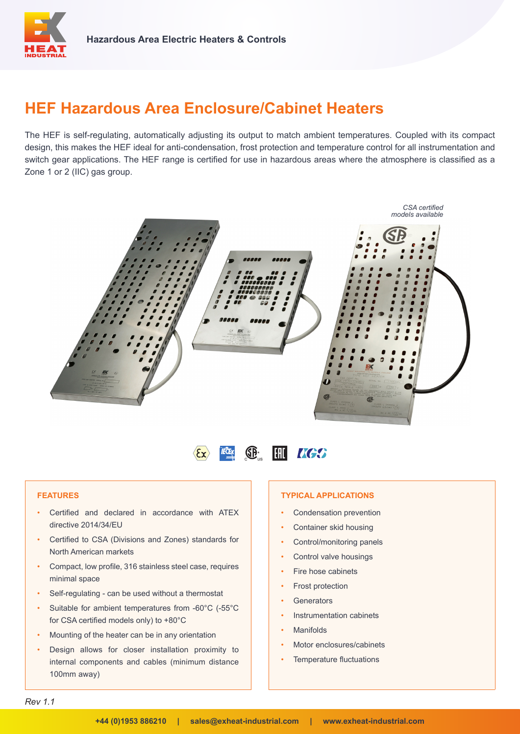

# **HEF Hazardous Area Enclosure/Cabinet Heaters**

The HEF is self-regulating, automatically adjusting its output to match ambient temperatures. Coupled with its compact design, this makes the HEF ideal for anti-condensation, frost protection and temperature control for all instrumentation and switch gear applications. The HEF range is certified for use in hazardous areas where the atmosphere is classified as a Zone 1 or 2 (IIC) gas group.





### **FEATURES**

- Certified and declared in accordance with ATEX directive 2014/34/EU
- Certified to CSA (Divisions and Zones) standards for North American markets
- Compact, low profile, 316 stainless steel case, requires minimal space
- Self-regulating can be used without a thermostat
- Suitable for ambient temperatures from -60°C (-55°C for CSA certified models only) to +80°C
- Mounting of the heater can be in any orientation
- Design allows for closer installation proximity to internal components and cables (minimum distance 100mm away)

#### **TYPICAL APPLICATIONS**

- Condensation prevention
- Container skid housing
- Control/monitoring panels
- Control valve housings
- Fire hose cabinets
- Frost protection
- **Generators**
- Instrumentation cabinets
- **Manifolds**
- Motor enclosures/cabinets
- Temperature fluctuations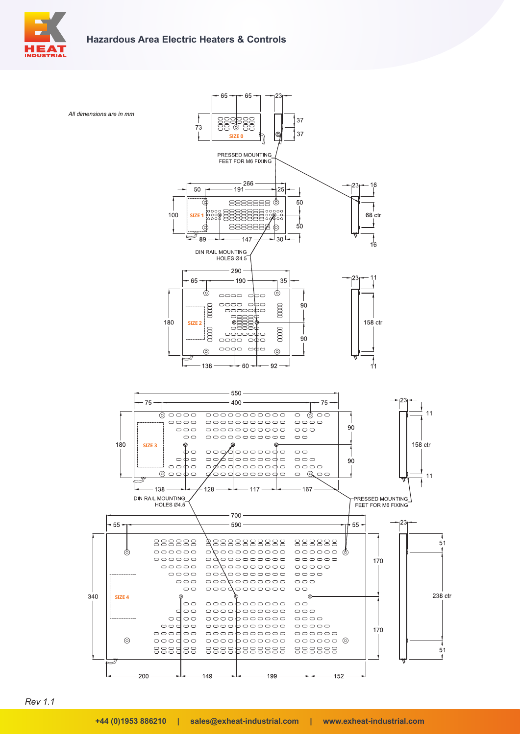





*Rev 1.1*